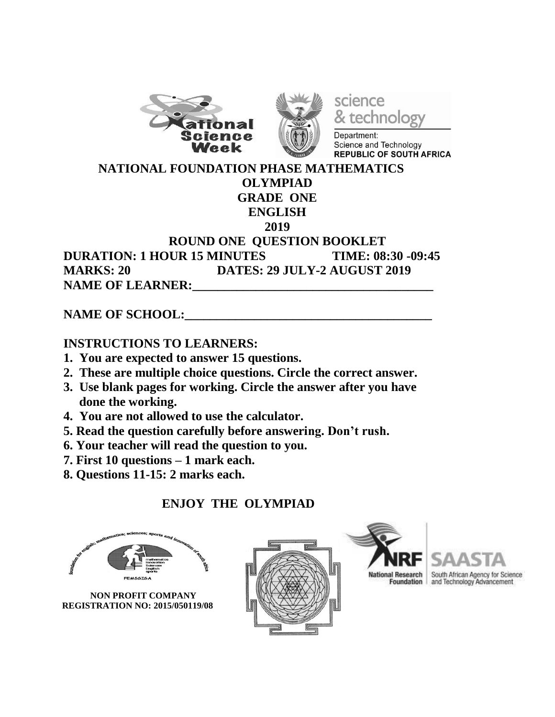



science technology

Department: Science and Technology **REPUBLIC OF SOUTH AFRICA** 

 **NATIONAL FOUNDATION PHASE MATHEMATICS**

#### **OLYMPIAD GRADE ONE**

# **ENGLISH**

#### **2019**

### **ROUND ONE QUESTION BOOKLET DURATION: 1 HOUR 15 MINUTES TIME: 08:30 -09:45 MARKS: 20 DATES: 29 JULY-2 AUGUST 2019** NAME OF LEARNER:

## NAME OF SCHOOL:

## **INSTRUCTIONS TO LEARNERS:**

- **1. You are expected to answer 15 questions.**
- **2. These are multiple choice questions. Circle the correct answer.**
- **3. Use blank pages for working. Circle the answer after you have done the working.**
- **4. You are not allowed to use the calculator.**
- **5. Read the question carefully before answering. Don't rush.**
- **6. Your teacher will read the question to you.**
- **7. First 10 questions – 1 mark each.**
- **8. Questions 11-15: 2 marks each.**

## **ENJOY THE OLYMPIAD**

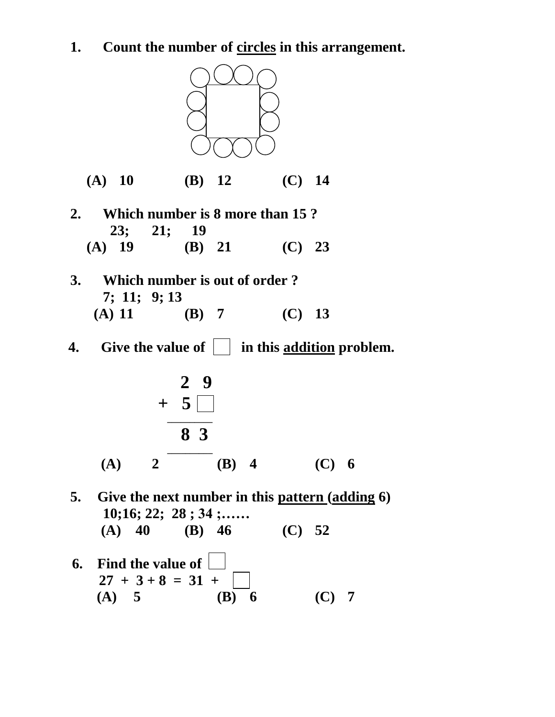**1. Count the number of circles in this arrangement.**



**(A) 10 (B) 12 (C) 14**

- **2. Which number is 8 more than 15 ? 23; 21; 19 (A) 19 (B) 21 (C) 23**
- **3. Which number is out of order ? 7; 11; 9; 13 (A) 11 (B) 7 (C) 13**
- **4.** Give the value of  $\vert \cdot \vert$  in this addition problem.



- **5. Give the next number in this pattern (adding 6) 10;16; 22; 28 ; 34 ;…… (A) 40 (B) 46 (C) 52**
- **6. Find the value of**   $27 + 3 + 8 = 31 +$ **(A) 5 (B) 6 (C) 7**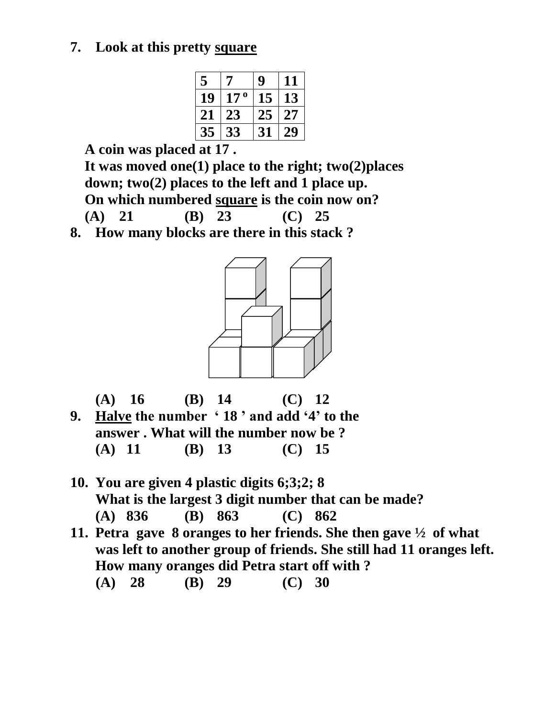## **7. Look at this pretty square**

| 5  | 7               | g  | 11 |
|----|-----------------|----|----|
| 19 | 17 <sup>0</sup> | 15 | 13 |
| 21 | 23              | 25 | 27 |
| 35 | 33              | 31 | 49 |

 **A coin was placed at 17 .**

 **It was moved one(1) place to the right; two(2)places down; two(2) places to the left and 1 place up. On which numbered square is the coin now on? (A) 21 (B) 23 (C) 25**

**8. How many blocks are there in this stack ?**





- **10. You are given 4 plastic digits 6;3;2; 8 What is the largest 3 digit number that can be made? (A) 836 (B) 863 (C) 862**
- **11. Petra gave 8 oranges to her friends. She then gave ½ of what was left to another group of friends. She still had 11 oranges left. How many oranges did Petra start off with ? (A) 28 (B) 29 (C) 30**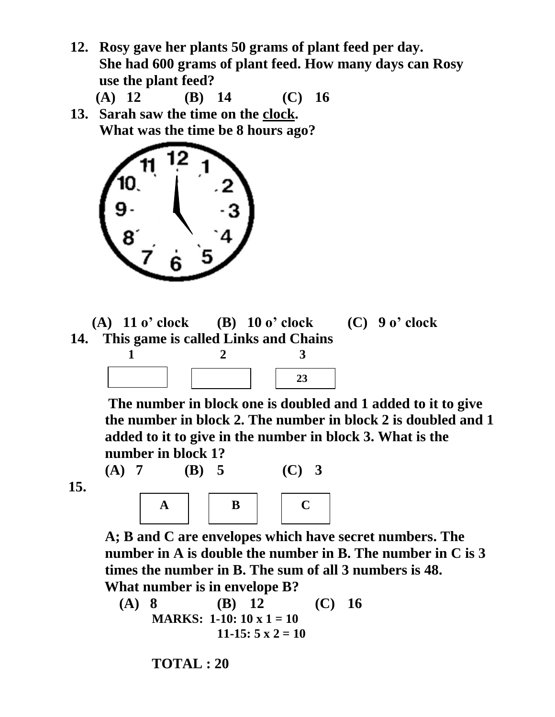**12. Rosy gave her plants 50 grams of plant feed per day. She had 600 grams of plant feed. How many days can Rosy use the plant feed?** 

 **(A) 12 (B) 14 (C) 16**

**13. Sarah saw the time on the clock. What was the time be 8 hours ago?** 



 **(A) 11 o' clock (B) 10 o' clock (C) 9 o' clock 14. This game is called Links and Chains 1 2 3**

**(A) 7 (B) 5 (C) 3** 

**The number in block one is doubled and 1 added to it to give the number in block 2. The number in block 2 is doubled and 1 added to it to give in the number in block 3. What is the number in block 1?**

$$
15.
$$



**A; B and C are envelopes which have secret numbers. The number in A is double the number in B. The number in C is 3 times the number in B. The sum of all 3 numbers is 48. What number is in envelope B?**

**(A) 8 (B) 12 (C) 16 MARKS: 1-10: 10 x 1 = 10**  $11-15: 5 \times 2 = 10$ 

**TOTAL : 20**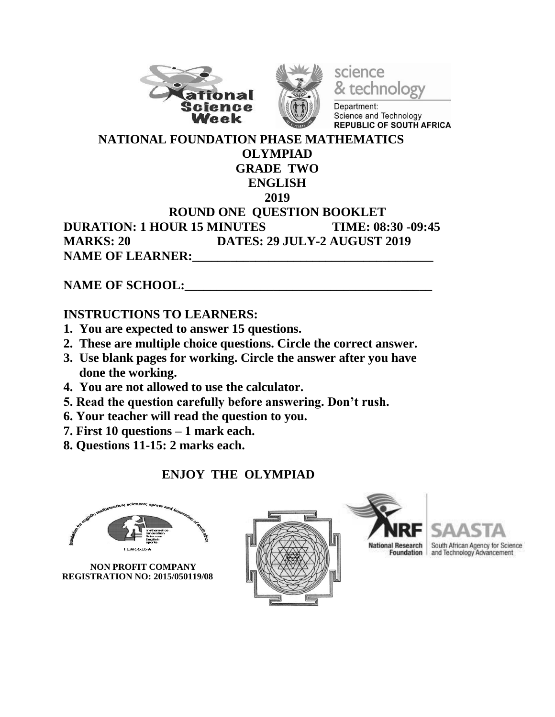



science & technology

Department: Science and Technology **REPUBLIC OF SOUTH AFRICA** 

#### **NATIONAL FOUNDATION PHASE MATHEMATICS OLYMPIAD GRADE TWO ENGLISH 2019 ROUND ONE QUESTION BOOKLET DURATION: 1 HOUR 15 MINUTES TIME: 08:30 -09:45 MARKS: 20 DATES: 29 JULY-2 AUGUST 2019** NAME OF LEARNER:

NAME OF SCHOOL:

### **INSTRUCTIONS TO LEARNERS:**

- **1. You are expected to answer 15 questions.**
- **2. These are multiple choice questions. Circle the correct answer.**
- **3. Use blank pages for working. Circle the answer after you have done the working.**
- **4. You are not allowed to use the calculator.**
- **5. Read the question carefully before answering. Don't rush.**
- **6. Your teacher will read the question to you.**
- **7. First 10 questions – 1 mark each.**
- **8. Questions 11-15: 2 marks each.**

## **ENJOY THE OLYMPIAD**



 **NON PROFIT COMPANY REGISTRATION NO: 2015/050119/08**





al Research South African Agency for Science<br>Foundation and Technology Advancement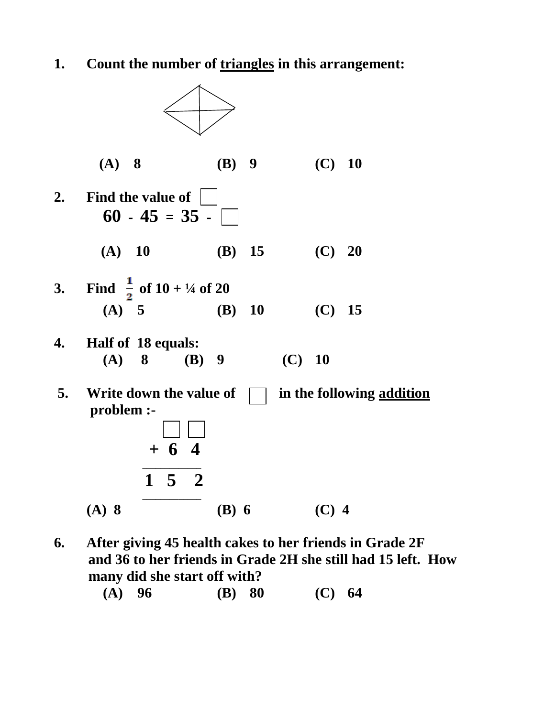**1. Count the number of triangles in this arrangement:** 



**6. After giving 45 health cakes to her friends in Grade 2F and 36 to her friends in Grade 2H she still had 15 left. How many did she start off with?**

| $(A)$ 96 | (B) 80 | (C) 64 |
|----------|--------|--------|
|          |        |        |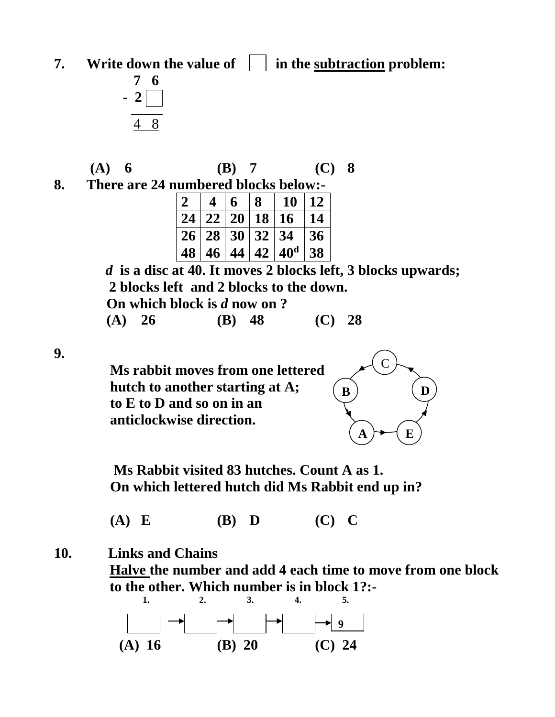**7. Write down the value of**  $\vert \cdot \vert$  **in the subtraction problem:** 



 **(A) 6 (B) 7 (C) 8**

**8. There are 24 numbered blocks below:-** 

| $\vert 2 \vert$ | $\overline{\mathbf{4}}$ | 6 | 8              | 10                             | 12         |
|-----------------|-------------------------|---|----------------|--------------------------------|------------|
|                 |                         |   | 24 22 20 18 16 |                                | 14         |
|                 |                         |   |                | 26 28 30 32 34                 | $\vert 36$ |
| 48              |                         |   |                | $46 \mid 44 \mid 42 \mid 40^d$ | 38         |

*d* **is a disc at 40. It moves 2 blocks left, 3 blocks upwards; 2 blocks left and 2 blocks to the down. On which block is** *d* **now on ?**

 **(A) 26 (B) 48 (C) 28**

**9.** 



 **Ms Rabbit visited 83 hutches. Count A as 1. On which lettered hutch did Ms Rabbit end up in?**

 **(A) E (B) D (C) C**

### **10. Links and Chains**

**Halve the number and add 4 each time to move from one block to the other. Which number is in block 1?:-**

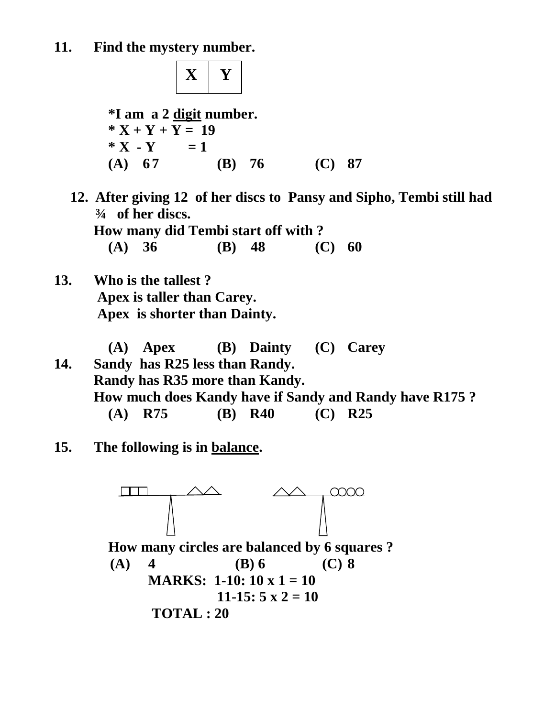**X Y**

 **\*I am a 2 digit number.**  $*$ **X** + **Y** + **Y** = 19  $*$ **X** -**Y** = 1  **(A) 6 7 (B) 76 (C) 87**

**12. After giving 12 of her discs to Pansy and Sipho, Tembi still had ¾ of her discs.**

 **How many did Tembi start off with ?**

 **(A) 36 (B) 48 (C) 60**

**13. Who is the tallest ? Apex is taller than Carey. Apex is shorter than Dainty.**

 **(A) Apex (B) Dainty (C) Carey 14. Sandy has R25 less than Randy. Randy has R35 more than Kandy. How much does Kandy have if Sandy and Randy have R175 ? (A) R75 (B) R40 (C) R25**

**15. The following is in balance.**

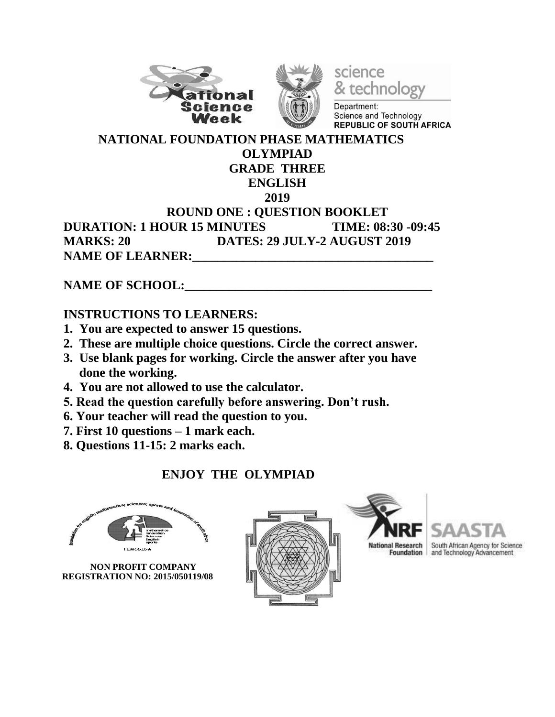



science & technology

Department: Science and Technology **REPUBLIC OF SOUTH AFRICA** 

#### **NATIONAL FOUNDATION PHASE MATHEMATICS OLYMPIAD GRADE THREE ENGLISH 2019 ROUND ONE : QUESTION BOOKLET DURATION: 1 HOUR 15 MINUTES TIME: 08:30 -09:45 MARKS: 20 DATES: 29 JULY-2 AUGUST 2019 NAME OF LEARNER:**

NAME OF SCHOOL:

### **INSTRUCTIONS TO LEARNERS:**

- **1. You are expected to answer 15 questions.**
- **2. These are multiple choice questions. Circle the correct answer.**
- **3. Use blank pages for working. Circle the answer after you have done the working.**
- **4. You are not allowed to use the calculator.**
- **5. Read the question carefully before answering. Don't rush.**
- **6. Your teacher will read the question to you.**
- **7. First 10 questions – 1 mark each.**
- **8. Questions 11-15: 2 marks each.**

## **ENJOY THE OLYMPIAD**



 **NON PROFIT COMPANY REGISTRATION NO: 2015/050119/08**





al Research South African Agency for Science<br>Foundation and Technology Advancement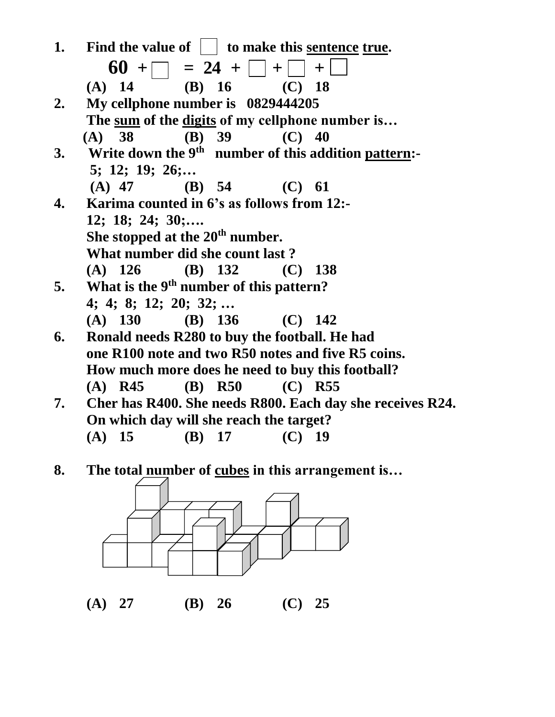| 1. | Find the value of $\vert \cdot \vert$ to make this <u>sentence</u> true. |
|----|--------------------------------------------------------------------------|
|    | $60 + \square = 24 + \square + \square$<br>$+$                           |
|    | (B) $16$ (C) $18$<br>$(A)$ 14                                            |
| 2. | My cellphone number is 0829444205                                        |
|    | The sum of the digits of my cellphone number is                          |
|    | (A) 38 (B) 39<br>$(C)$ 40                                                |
| 3. | Write down the 9 <sup>th</sup> number of this addition pattern:-         |
|    | 5; 12; 19; 26;                                                           |
|    | (B) $54$<br>$(A)$ 47<br>(C) 61                                           |
| 4. | Karima counted in 6's as follows from 12:-                               |
|    | $12; 18; 24; 30; \ldots$                                                 |
|    | She stopped at the $20th$ number.                                        |
|    | What number did she count last?                                          |
|    | (A) $126$ (B) $132$ (C) $138$                                            |
| 5. | What is the 9 <sup>th</sup> number of this pattern?                      |
|    | 4; 4; 8; 12; 20; 32;                                                     |
|    | $(A)$ 130<br>(B) $136$<br>$(C)$ 142                                      |
| 6. | Ronald needs R280 to buy the football. He had                            |
|    | one R100 note and two R50 notes and five R5 coins.                       |
|    | How much more does he need to buy this football?                         |
|    | $(B)$ R50<br>$(A)$ R45<br>$(C)$ R55                                      |
| 7. | Cher has R400. She needs R800. Each day she receives R24.                |
|    | On which day will she reach the target?                                  |
|    | $(A)$ 15<br>$(B)$ 17<br>$(C)$ 19                                         |
|    |                                                                          |

**8. The total number of cubes in this arrangement is…**



**(A) 27 (B) 26 (C) 25**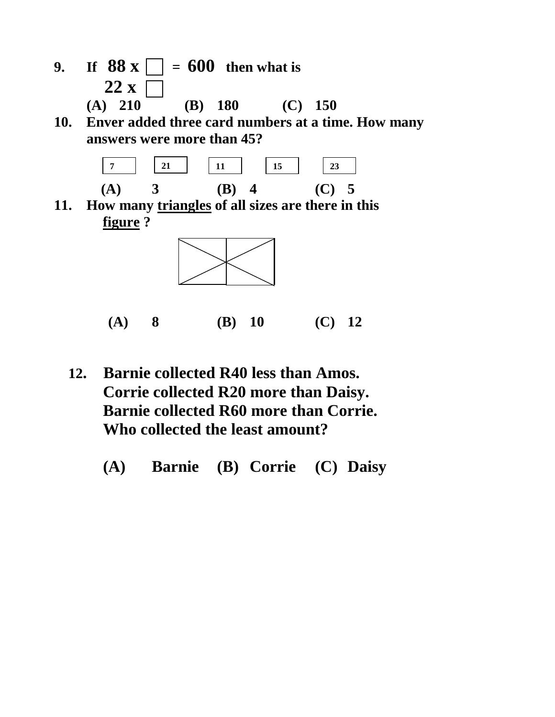- **9. If**  $88 \times 7 = 600$  **then what is**  $22 x$ **(A) 210 (B) 180 (C) 150**
- **10. Enver added three card numbers at a time. How many answers were more than 45?**



**11. How many triangles of all sizes are there in this figure ?**



 **(A) 8 (B) 10 (C) 12**

- **12. Barnie collected R40 less than Amos. Corrie collected R20 more than Daisy. Barnie collected R60 more than Corrie. Who collected the least amount?** 
	- **(A) Barnie (B) Corrie (C) Daisy**